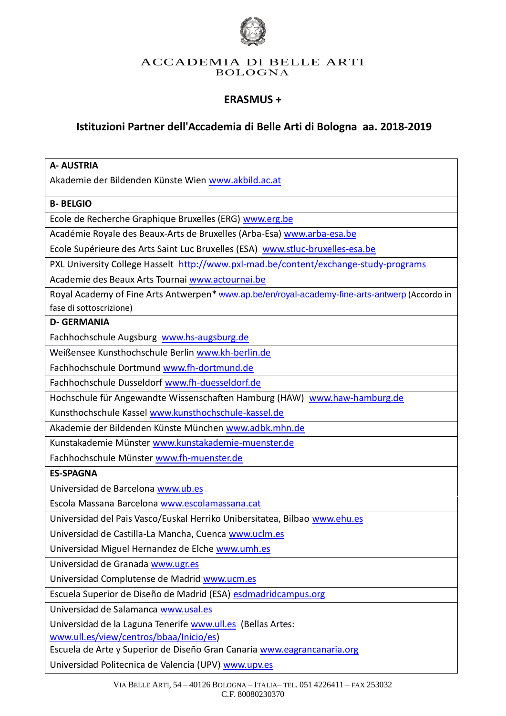

#### ACCADEMIA DI BELLE ARTI BOLOGNA

## **ERASMUS +**

## **Istituzioni Partner dell'Accademia di Belle Arti di Bologna aa. 2018-2019**

| <b>A- AUSTRIA</b>                                                                              |
|------------------------------------------------------------------------------------------------|
| Akademie der Bildenden Künste Wien www.akbild.ac.at                                            |
| <b>B-BELGIO</b>                                                                                |
| Ecole de Recherche Graphique Bruxelles (ERG) www.erg.be                                        |
| Académie Royale des Beaux-Arts de Bruxelles (Arba-Esa) www.arba-esa.be                         |
| Ecole Supérieure des Arts Saint Luc Bruxelles (ESA) www.stluc-bruxelles-esa.be                 |
| PXL University College Hasselt http://www.pxl-mad.be/content/exchange-study-programs           |
| Academie des Beaux Arts Tournai www.actournai.be                                               |
| Royal Academy of Fine Arts Antwerpen* www.ap.be/en/royal-academy-fine-arts-antwerp (Accordo in |
| fase di sottoscrizione)                                                                        |
| <b>D- GERMANIA</b>                                                                             |
| Fachhochschule Augsburg www.hs-augsburg.de                                                     |
| Weißensee Kunsthochschule Berlin www.kh-berlin.de                                              |
| Fachhochschule Dortmund www.fh-dortmund.de                                                     |
| Fachhochschule Dusseldorf www.fh-duesseldorf.de                                                |
| Hochschule für Angewandte Wissenschaften Hamburg (HAW) www.haw-hamburg.de                      |
| Kunsthochschule Kassel www.kunsthochschule-kassel.de                                           |
| Akademie der Bildenden Künste München www.adbk.mhn.de                                          |
| Kunstakademie Münster www.kunstakademie-muenster.de                                            |
| Fachhochschule Münster www.fh-muenster.de                                                      |
| <b>ES-SPAGNA</b>                                                                               |
| Universidad de Barcelona www.ub.es                                                             |
| Escola Massana Barcelona www.escolamassana.cat                                                 |
| Universidad del Pais Vasco/Euskal Herriko Unibersitatea, Bilbao www.ehu.es                     |
| Universidad de Castilla-La Mancha, Cuenca www.uclm.es                                          |
| Universidad Miguel Hernandez de Elche www.umh.es                                               |
| Universidad de Granada www.ugr.es                                                              |
| Universidad Complutense de Madrid www.ucm.es                                                   |
| Escuela Superior de Diseño de Madrid (ESA) esdmadridcampus.org                                 |
| Universidad de Salamanca www.usal.es                                                           |
| Universidad de la Laguna Tenerife www.ull.es (Bellas Artes:                                    |
| www.ull.es/view/centros/bbaa/Inicio/es)                                                        |
| Escuela de Arte y Superior de Diseño Gran Canaria www.eagrancanaria.org                        |

Universidad Politecnica de Valencia (UPV) [www.upv.es](http://www.upv.es/)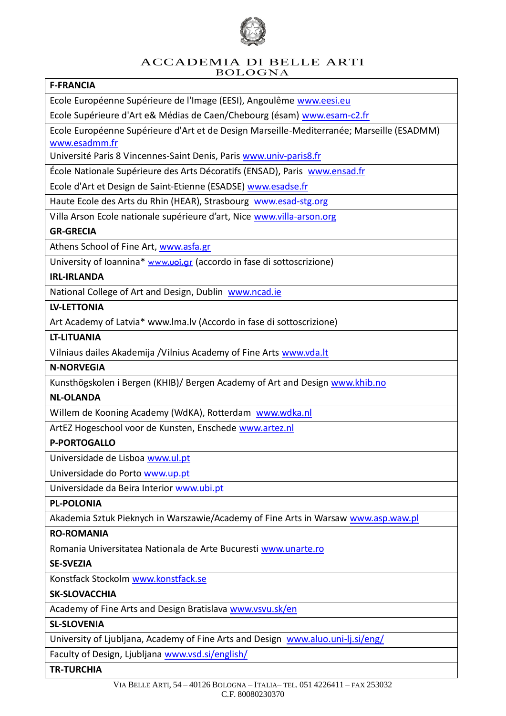

#### ACCADEMIA DI BELLE ARTI BOLOGNA

## **F-FRANCIA**

Ecole Européenne Supérieure de l'Image (EESI), Angoulême [www.eesi.eu](http://www.eesi.eu/)

Ecole Supérieure d'Art e& Médias de Caen/Chebourg (ésam) [www.esam-c2.fr](http://www.esam-c2.fr/)

Ecole Européenne Supérieure d'Art et de Design Marseille-Mediterranée; Marseille (ESADMM) [www.esadmm.fr](http://www.esadmm.fr/)

Université Paris 8 Vincennes-Saint Denis, Paris [www.univ-paris8.fr](http://www.univ-paris8.fr/)

École Nationale Supérieure des Arts Décoratifs (ENSAD), Paris [www.ensad.fr](http://www.ensad.fr/) 

Ecole d'Art et Design de Saint-Etienne (ESADSE) [www.esadse.fr](http://www.esadse.fr/)

Haute Ecole des Arts du Rhin (HEAR), Strasbourg [www.esad-stg.org](http://www.esad-stg.org/)

Villa Arson Ecole nationale supérieure d'art, Nice [www.villa-arson.org](http://www.villa-arson.org/)

## **GR-GRECIA**

Athens School of Fine Art, [www.asfa.gr](http://www.asfa.gr/)

University of Ioannina\* [www.uoi.gr](http://www.uoi.gr/) (accordo in fase di sottoscrizione)

## **IRL-IRLANDA**

National College of Art and Design, Dublin [www.ncad.ie](http://www.ncad.ie/)

## **LV-LETTONIA**

Art Academy of Latvia\* [www.lma.lv](http://www.lma.lv/) (Accordo in fase di sottoscrizione)

## **LT-LITUANIA**

Vilniaus dailes Akademija /Vilnius Academy of Fine Arts [www.vda.lt](http://www.vda.lt/)

#### **N-NORVEGIA**

Kunsthögskolen i Bergen (KHIB)/ Bergen Academy of Art and Design [www.khib.no](http://www.khib.no/)

## **NL-OLANDA**

Willem de Kooning Academy (WdKA), Rotterdam [www.wdka.nl](http://www.wdka.nl/)

ArtEZ Hogeschool voor de Kunsten, Enschede [www.artez.nl](http://www.artez.nl/)

## **P-PORTOGALLO**

Universidade de Lisboa [www.ul.pt](http://www.ul.pt/)

Universidade do Porto [www.up.pt](http://www.up.pt/)

Universidade da Beira Interior www.ubi.pt

#### **PL-POLONIA**

Akademia Sztuk Pieknych in Warszawie/Academy of Fine Arts in Warsaw [www.asp.waw.pl](http://www.asp.waw.pl/) 

#### **RO-ROMANIA**

Romania Universitatea Nationala de Arte Bucuresti [www.unarte.ro](http://www.unarte.ro/)

#### **SE-SVEZIA**

Konstfack Stockolm [www.konstfack.se](http://www.konstfack.se/)

#### **SK-SLOVACCHIA**

Academy of Fine Arts and Design Bratislava [www.vsvu.sk/en](http://www.vsvu.sk/en)

## **SL-SLOVENIA**

University of Ljubljana, Academy of Fine Arts and Design [www.aluo.uni-lj.si/eng/](http://www.aluo.uni-lj.si/eng/)

Faculty of Design, Ljubljana [www.vsd.si/english/](http://www.vsd.si/english/)

#### **TR-TURCHIA**